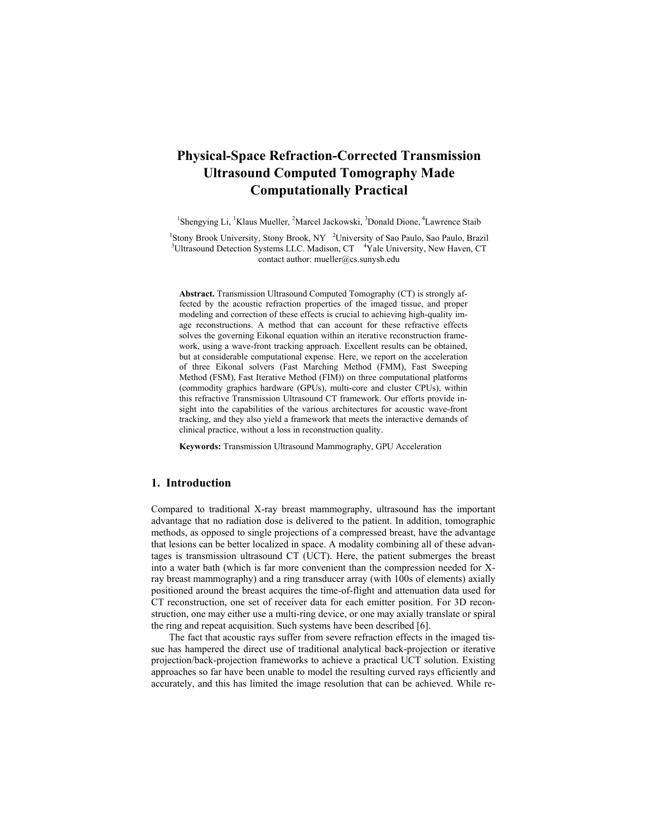# **Physical-Space Refraction-Corrected Transmission Ultrasound Computed Tomography Made Computationally Practical**

<sup>1</sup>Shengying Li, <sup>1</sup>Klaus Mueller, <sup>2</sup>Marcel Jackowski, <sup>3</sup>Donald Dione, <sup>4</sup>Lawrence Staib

<sup>1</sup>Stony Brook University, Stony Brook, NY <sup>2</sup>University of Sao Paulo, Sao Paulo, Brazil<br><sup>3</sup>Ultragguad Detection Systems LLC, Medican CT, <sup>4</sup>Yele University, New Haven, CT, Ultrasound Detection Systems LLC. Madison, CT <sup>4</sup>Yale University, New Haven, CT contact author: mueller@cs.sunysb.edu

**Abstract.** Transmission Ultrasound Computed Tomography (CT) is strongly affected by the acoustic refraction properties of the imaged tissue, and proper modeling and correction of these effects is crucial to achieving high-quality image reconstructions. A method that can account for these refractive effects solves the governing Eikonal equation within an iterative reconstruction framework, using a wave-front tracking approach. Excellent results can be obtained, but at considerable computational expense. Here, we report on the acceleration of three Eikonal solvers (Fast Marching Method (FMM), Fast Sweeping Method (FSM), Fast Iterative Method (FIM)) on three computational platforms (commodity graphics hardware (GPUs), multi-core and cluster CPUs), within this refractive Transmission Ultrasound CT framework. Our efforts provide insight into the capabilities of the various architectures for acoustic wave-front tracking, and they also yield a framework that meets the interactive demands of clinical practice, without a loss in reconstruction quality.

**Keywords:** Transmission Ultrasound Mammography, GPU Acceleration

# **1. Introduction**

Compared to traditional X-ray breast mammography, ultrasound has the important advantage that no radiation dose is delivered to the patient. In addition, tomographic methods, as opposed to single projections of a compressed breast, have the advantage that lesions can be better localized in space. A modality combining all of these advantages is transmission ultrasound CT (UCT). Here, the patient submerges the breast into a water bath (which is far more convenient than the compression needed for Xray breast mammography) and a ring transducer array (with 100s of elements) axially positioned around the breast acquires the time-of-flight and attenuation data used for CT reconstruction, one set of receiver data for each emitter position. For 3D reconstruction, one may either use a multi-ring device, or one may axially translate or spiral the ring and repeat acquisition. Such systems have been described [6].

The fact that acoustic rays suffer from severe refraction effects in the imaged tissue has hampered the direct use of traditional analytical back-projection or iterative projection/back-projection frameworks to achieve a practical UCT solution. Existing approaches so far have been unable to model the resulting curved rays efficiently and accurately, and this has limited the image resolution that can be achieved. While re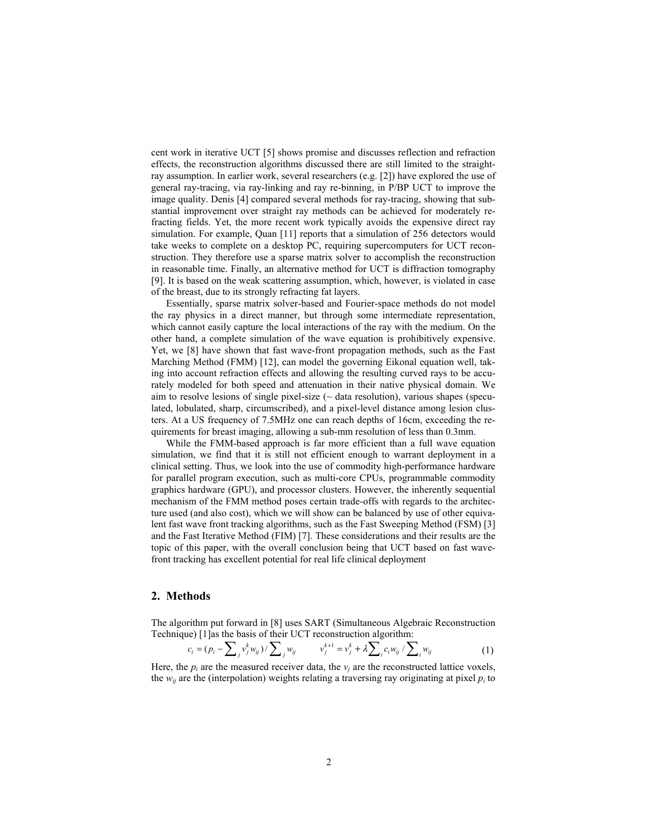cent work in iterative UCT [5] shows promise and discusses reflection and refraction effects, the reconstruction algorithms discussed there are still limited to the straightray assumption. In earlier work, several researchers (e.g. [2]) have explored the use of general ray-tracing, via ray-linking and ray re-binning, in P/BP UCT to improve the image quality. Denis [4] compared several methods for ray-tracing, showing that substantial improvement over straight ray methods can be achieved for moderately refracting fields. Yet, the more recent work typically avoids the expensive direct ray simulation. For example, Quan [11] reports that a simulation of 256 detectors would take weeks to complete on a desktop PC, requiring supercomputers for UCT reconstruction. They therefore use a sparse matrix solver to accomplish the reconstruction in reasonable time. Finally, an alternative method for UCT is diffraction tomography [9]. It is based on the weak scattering assumption, which, however, is violated in case of the breast, due to its strongly refracting fat layers.

Essentially, sparse matrix solver-based and Fourier-space methods do not model the ray physics in a direct manner, but through some intermediate representation, which cannot easily capture the local interactions of the ray with the medium. On the other hand, a complete simulation of the wave equation is prohibitively expensive. Yet, we [8] have shown that fast wave-front propagation methods, such as the Fast Marching Method (FMM) [12], can model the governing Eikonal equation well, taking into account refraction effects and allowing the resulting curved rays to be accurately modeled for both speed and attenuation in their native physical domain. We aim to resolve lesions of single pixel-size  $(\sim$  data resolution), various shapes (speculated, lobulated, sharp, circumscribed), and a pixel-level distance among lesion clusters. At a US frequency of 7.5MHz one can reach depths of 16cm, exceeding the requirements for breast imaging, allowing a sub-mm resolution of less than 0.3mm.

While the FMM-based approach is far more efficient than a full wave equation simulation, we find that it is still not efficient enough to warrant deployment in a clinical setting. Thus, we look into the use of commodity high-performance hardware for parallel program execution, such as multi-core CPUs, programmable commodity graphics hardware (GPU), and processor clusters. However, the inherently sequential mechanism of the FMM method poses certain trade-offs with regards to the architecture used (and also cost), which we will show can be balanced by use of other equivalent fast wave front tracking algorithms, such as the Fast Sweeping Method (FSM) [3] and the Fast Iterative Method (FIM) [7]. These considerations and their results are the topic of this paper, with the overall conclusion being that UCT based on fast wavefront tracking has excellent potential for real life clinical deployment

## **2. Methods**

The algorithm put forward in [8] uses SART (Simultaneous Algebraic Reconstruction Technique) [1] as the basis of their UCT reconstruction algorithm:

$$
c_i = (p_i - \sum_j v_j^k w_{ij}) / \sum_j w_{ij} \qquad v_j^{k+1} = v_j^k + \lambda \sum_i c_i w_{ij} / \sum_i w_{ij} \qquad (1)
$$

Here, the  $p_i$  are the measured receiver data, the  $v_i$  are the reconstructed lattice voxels, the  $w_{ij}$  are the (interpolation) weights relating a traversing ray originating at pixel  $p_i$  to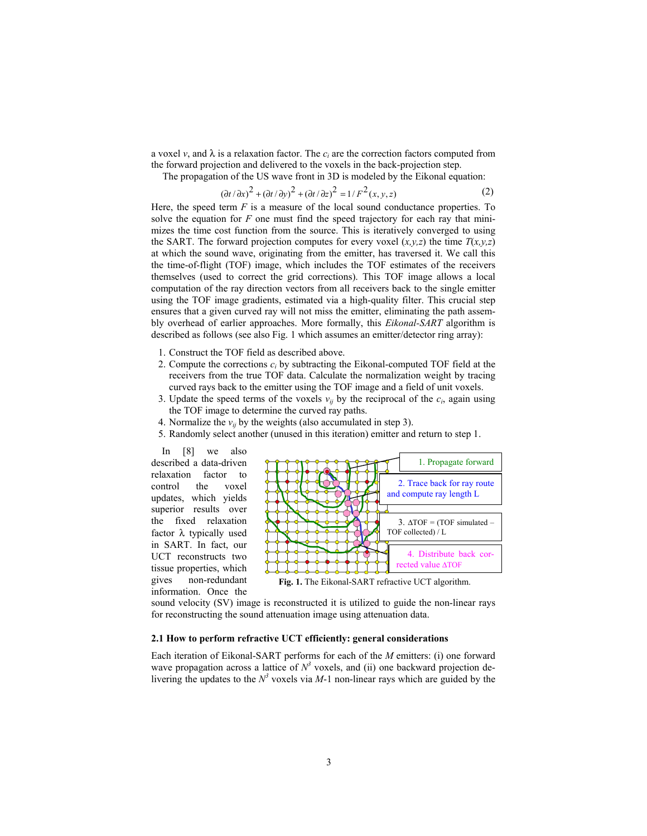a voxel *v*, and  $\lambda$  is a relaxation factor. The  $c_i$  are the correction factors computed from the forward projection and delivered to the voxels in the back-projection step.

The propagation of the US wave front in 3D is modeled by the Eikonal equation:

$$
(\partial t/\partial x)^2 + (\partial t/\partial y)^2 + (\partial t/\partial z)^2 = 1/F^2(x, y, z)
$$
 (2)

Here, the speed term *F* is a measure of the local sound conductance properties. To solve the equation for *F* one must find the speed trajectory for each ray that minimizes the time cost function from the source. This is iteratively converged to using the SART. The forward projection computes for every voxel  $(x, y, z)$  the time  $T(x, y, z)$ at which the sound wave, originating from the emitter, has traversed it. We call this the time-of-flight (TOF) image, which includes the TOF estimates of the receivers themselves (used to correct the grid corrections). This TOF image allows a local computation of the ray direction vectors from all receivers back to the single emitter using the TOF image gradients, estimated via a high-quality filter. This crucial step ensures that a given curved ray will not miss the emitter, eliminating the path assembly overhead of earlier approaches. More formally, this *Eikonal-SART* algorithm is described as follows (see also Fig. 1 which assumes an emitter/detector ring array):

- 1. Construct the TOF field as described above.
- 2. Compute the corrections *ci* by subtracting the Eikonal-computed TOF field at the receivers from the true TOF data. Calculate the normalization weight by tracing curved rays back to the emitter using the TOF image and a field of unit voxels.
- 3. Update the speed terms of the voxels  $v_{ij}$  by the reciprocal of the  $c_i$ , again using the TOF image to determine the curved ray paths.
- 4. Normalize the  $v_{ij}$  by the weights (also accumulated in step 3).
- 5. Randomly select another (unused in this iteration) emitter and return to step 1.

In [8] we also described a data-driven relaxation factor to control the voxel updates, which yields superior results over the fixed relaxation factor λ typically used in SART. In fact, our UCT reconstructs two tissue properties, which gives non-redundant information. Once the



**Fig. 1.** The Eikonal-SART refractive UCT algorithm.

sound velocity (SV) image is reconstructed it is utilized to guide the non-linear rays for reconstructing the sound attenuation image using attenuation data.

## **2.1 How to perform refractive UCT efficiently: general considerations**

Each iteration of Eikonal-SART performs for each of the *M* emitters: (i) one forward wave propagation across a lattice of  $N^3$  voxels, and (ii) one backward projection delivering the updates to the  $N^3$  voxels via  $M-1$  non-linear rays which are guided by the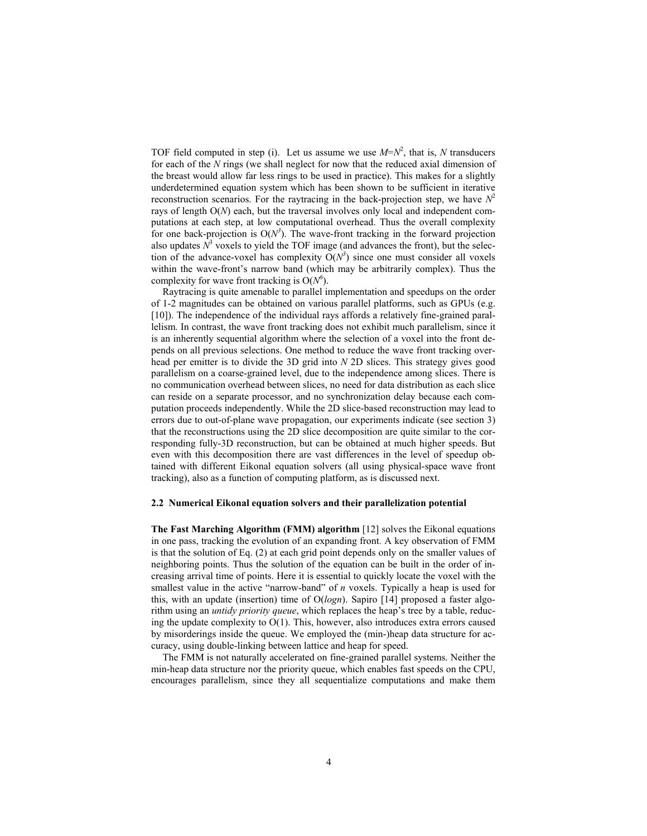TOF field computed in step (i). Let us assume we use  $M=N^2$ , that is, N transducers for each of the *N* rings (we shall neglect for now that the reduced axial dimension of the breast would allow far less rings to be used in practice). This makes for a slightly underdetermined equation system which has been shown to be sufficient in iterative reconstruction scenarios. For the raytracing in the back-projection step, we have  $N^2$ rays of length O(*N*) each, but the traversal involves only local and independent computations at each step, at low computational overhead. Thus the overall complexity for one back-projection is  $O(N^3)$ . The wave-front tracking in the forward projection also updates  $N^3$  voxels to yield the TOF image (and advances the front), but the selection of the advance-voxel has complexity  $O(N^3)$  since one must consider all voxels within the wave-front's narrow band (which may be arbitrarily complex). Thus the complexity for wave front tracking is  $O(N^6)$ .

Raytracing is quite amenable to parallel implementation and speedups on the order of 1-2 magnitudes can be obtained on various parallel platforms, such as GPUs (e.g. [10]). The independence of the individual rays affords a relatively fine-grained parallelism. In contrast, the wave front tracking does not exhibit much parallelism, since it is an inherently sequential algorithm where the selection of a voxel into the front depends on all previous selections. One method to reduce the wave front tracking overhead per emitter is to divide the 3D grid into *N* 2D slices. This strategy gives good parallelism on a coarse-grained level, due to the independence among slices. There is no communication overhead between slices, no need for data distribution as each slice can reside on a separate processor, and no synchronization delay because each computation proceeds independently. While the 2D slice-based reconstruction may lead to errors due to out-of-plane wave propagation, our experiments indicate (see section 3) that the reconstructions using the 2D slice decomposition are quite similar to the corresponding fully-3D reconstruction, but can be obtained at much higher speeds. But even with this decomposition there are vast differences in the level of speedup obtained with different Eikonal equation solvers (all using physical-space wave front tracking), also as a function of computing platform, as is discussed next.

#### **2.2 Numerical Eikonal equation solvers and their parallelization potential**

**The Fast Marching Algorithm (FMM) algorithm** [12] solves the Eikonal equations in one pass, tracking the evolution of an expanding front. A key observation of FMM is that the solution of Eq. (2) at each grid point depends only on the smaller values of neighboring points. Thus the solution of the equation can be built in the order of increasing arrival time of points. Here it is essential to quickly locate the voxel with the smallest value in the active "narrow-band" of *n* voxels. Typically a heap is used for this, with an update (insertion) time of O(*logn*). Sapiro [14] proposed a faster algorithm using an *untidy priority queue*, which replaces the heap's tree by a table, reducing the update complexity to O(1). This, however, also introduces extra errors caused by misorderings inside the queue. We employed the (min-)heap data structure for accuracy, using double-linking between lattice and heap for speed.

The FMM is not naturally accelerated on fine-grained parallel systems. Neither the min-heap data structure nor the priority queue, which enables fast speeds on the CPU, encourages parallelism, since they all sequentialize computations and make them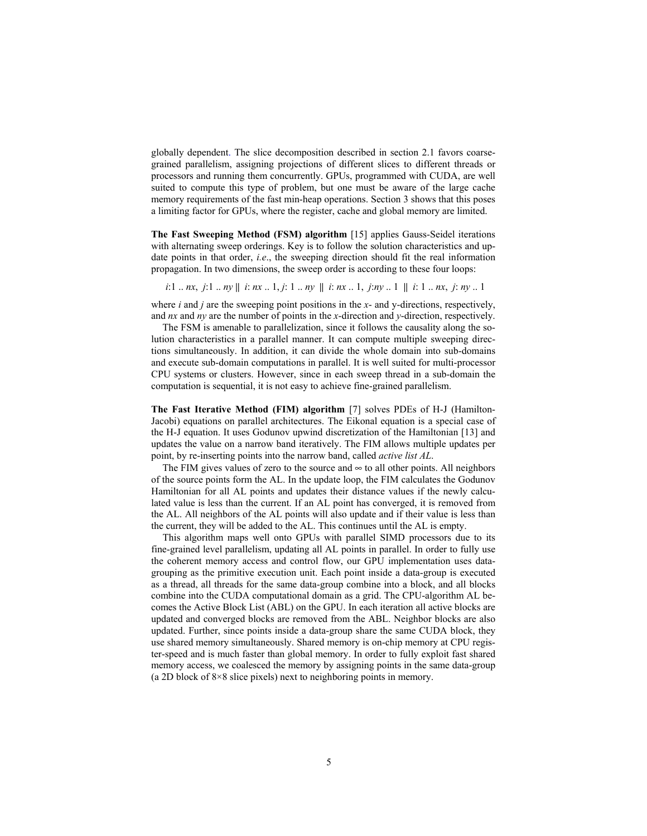globally dependent. The slice decomposition described in section 2.1 favors coarsegrained parallelism, assigning projections of different slices to different threads or processors and running them concurrently. GPUs, programmed with CUDA, are well suited to compute this type of problem, but one must be aware of the large cache memory requirements of the fast min-heap operations. Section 3 shows that this poses a limiting factor for GPUs, where the register, cache and global memory are limited.

**The Fast Sweeping Method (FSM) algorithm** [15] applies Gauss-Seidel iterations with alternating sweep orderings. Key is to follow the solution characteristics and update points in that order, *i.e*., the sweeping direction should fit the real information propagation. In two dimensions, the sweep order is according to these four loops:

i:1 .. nx, i:1 .. ny || i: nx .. 1, j: 1 .. ny || i: nx .. 1, j: ny .. 1 || i: 1 .. nx, j: ny .. 1

where *i* and *j* are the sweeping point positions in the *x*- and y-directions, respectively, and *nx* and *ny* are the number of points in the *x*-direction and *y*-direction, respectively.

The FSM is amenable to parallelization, since it follows the causality along the solution characteristics in a parallel manner. It can compute multiple sweeping directions simultaneously. In addition, it can divide the whole domain into sub-domains and execute sub-domain computations in parallel. It is well suited for multi-processor CPU systems or clusters. However, since in each sweep thread in a sub-domain the computation is sequential, it is not easy to achieve fine-grained parallelism.

**The Fast Iterative Method (FIM) algorithm** [7] solves PDEs of H-J (Hamilton-Jacobi) equations on parallel architectures. The Eikonal equation is a special case of the H-J equation. It uses Godunov upwind discretization of the Hamiltonian [13] and updates the value on a narrow band iteratively. The FIM allows multiple updates per point, by re-inserting points into the narrow band, called *active list AL*.

The FIM gives values of zero to the source and  $\infty$  to all other points. All neighbors of the source points form the AL. In the update loop, the FIM calculates the Godunov Hamiltonian for all AL points and updates their distance values if the newly calculated value is less than the current. If an AL point has converged, it is removed from the AL. All neighbors of the AL points will also update and if their value is less than the current, they will be added to the AL. This continues until the AL is empty.

This algorithm maps well onto GPUs with parallel SIMD processors due to its fine-grained level parallelism, updating all AL points in parallel. In order to fully use the coherent memory access and control flow, our GPU implementation uses datagrouping as the primitive execution unit. Each point inside a data-group is executed as a thread, all threads for the same data-group combine into a block, and all blocks combine into the CUDA computational domain as a grid. The CPU-algorithm AL becomes the Active Block List (ABL) on the GPU. In each iteration all active blocks are updated and converged blocks are removed from the ABL. Neighbor blocks are also updated. Further, since points inside a data-group share the same CUDA block, they use shared memory simultaneously. Shared memory is on-chip memory at CPU register-speed and is much faster than global memory. In order to fully exploit fast shared memory access, we coalesced the memory by assigning points in the same data-group (a 2D block of 8×8 slice pixels) next to neighboring points in memory.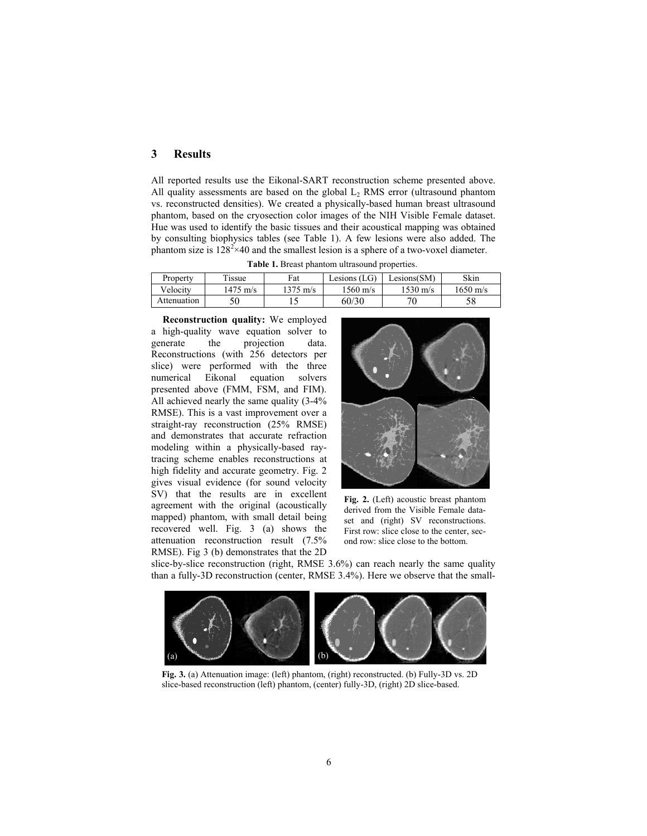# **3 Results**

All reported results use the Eikonal-SART reconstruction scheme presented above. All quality assessments are based on the global  $L_2$  RMS error (ultrasound phantom vs. reconstructed densities). We created a physically-based human breast ultrasound phantom, based on the cryosection color images of the NIH Visible Female dataset. Hue was used to identify the basic tissues and their acoustical mapping was obtained by consulting biophysics tables (see Table 1). A few lesions were also added. The phantom size is  $128^2 \times 40$  and the smallest lesion is a sphere of a two-voxel diameter.

| <b>Table 1.</b> Divast phalltoni untasound properties. |          |                    |                    |                    |                    |  |  |  |  |  |
|--------------------------------------------------------|----------|--------------------|--------------------|--------------------|--------------------|--|--|--|--|--|
| Property                                               | Tissue   | Fat                | Lesions $(LG)$     | Lesions(SM)        | Skin               |  |  |  |  |  |
| Velocity                                               | 1475 m/s | $1375 \text{ m/s}$ | $1560 \text{ m/s}$ | $1530 \text{ m/s}$ | $1650 \text{ m/s}$ |  |  |  |  |  |
| Attenuation                                            |          |                    | 60/30              | חד                 |                    |  |  |  |  |  |

**Table 1.** Breast phantom ultrasound properties.

**Reconstruction quality:** We employed a high-quality wave equation solver to generate the projection data. Reconstructions (with 256 detectors per slice) were performed with the three numerical Eikonal equation solvers presented above (FMM, FSM, and FIM). All achieved nearly the same quality (3-4% RMSE). This is a vast improvement over a straight-ray reconstruction (25% RMSE) and demonstrates that accurate refraction modeling within a physically-based raytracing scheme enables reconstructions at high fidelity and accurate geometry. Fig. 2 gives visual evidence (for sound velocity SV) that the results are in excellent agreement with the original (acoustically mapped) phantom, with small detail being recovered well. Fig. 3 (a) shows the attenuation reconstruction result (7.5% RMSE). Fig 3 (b) demonstrates that the 2D



**Fig. 2.** (Left) acoustic breast phantom derived from the Visible Female dataset and (right) SV reconstructions. First row: slice close to the center, second row: slice close to the bottom.

slice-by-slice reconstruction (right, RMSE 3.6%) can reach nearly the same quality than a fully-3D reconstruction (center, RMSE 3.4%). Here we observe that the small-



**Fig. 3.** (a) Attenuation image: (left) phantom, (right) reconstructed. (b) Fully-3D vs. 2D slice-based reconstruction (left) phantom, (center) fully-3D, (right) 2D slice-based.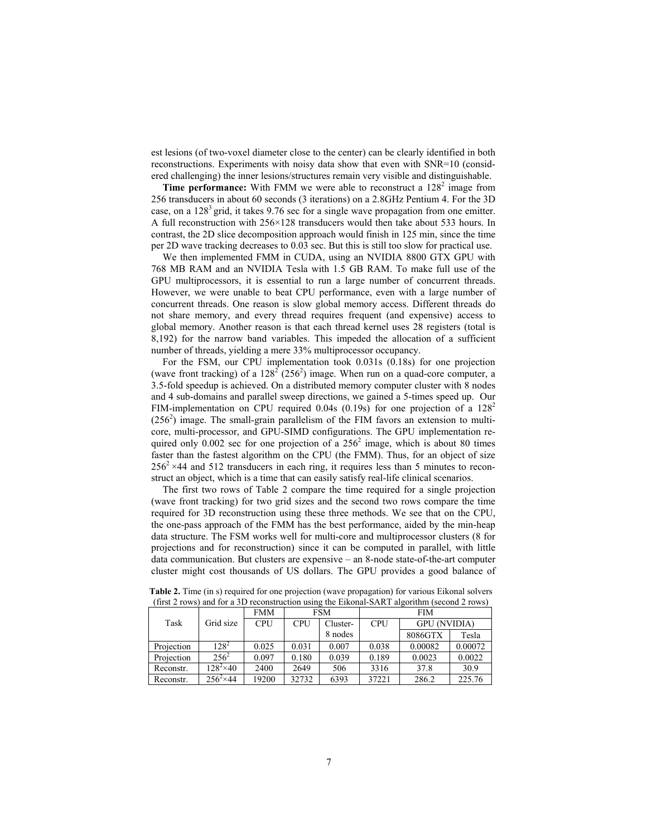est lesions (of two-voxel diameter close to the center) can be clearly identified in both reconstructions. Experiments with noisy data show that even with SNR=10 (considered challenging) the inner lesions/structures remain very visible and distinguishable.

**Time performance:** With FMM we were able to reconstruct a  $128^2$  image from 256 transducers in about 60 seconds (3 iterations) on a 2.8GHz Pentium 4. For the 3D case, on a 1283 grid, it takes 9.76 sec for a single wave propagation from one emitter. A full reconstruction with 256×128 transducers would then take about 533 hours. In contrast, the 2D slice decomposition approach would finish in 125 min, since the time per 2D wave tracking decreases to 0.03 sec. But this is still too slow for practical use.

We then implemented FMM in CUDA, using an NVIDIA 8800 GTX GPU with 768 MB RAM and an NVIDIA Tesla with 1.5 GB RAM. To make full use of the GPU multiprocessors, it is essential to run a large number of concurrent threads. However, we were unable to beat CPU performance, even with a large number of concurrent threads. One reason is slow global memory access. Different threads do not share memory, and every thread requires frequent (and expensive) access to global memory. Another reason is that each thread kernel uses 28 registers (total is 8,192) for the narrow band variables. This impeded the allocation of a sufficient number of threads, yielding a mere 33% multiprocessor occupancy.

For the FSM, our CPU implementation took 0.031s (0.18s) for one projection (wave front tracking) of a  $128^2$  (256<sup>2</sup>) image. When run on a quad-core computer, a 3.5-fold speedup is achieved. On a distributed memory computer cluster with 8 nodes and 4 sub-domains and parallel sweep directions, we gained a 5-times speed up. Our FIM-implementation on CPU required 0.04s (0.19s) for one projection of a  $128^2$  $(256<sup>2</sup>)$  image. The small-grain parallelism of the FIM favors an extension to multicore, multi-processor, and GPU-SIMD configurations. The GPU implementation required only  $0.002$  sec for one projection of a  $256<sup>2</sup>$  image, which is about 80 times faster than the fastest algorithm on the CPU (the FMM). Thus, for an object of size  $256^2 \times 44$  and 512 transducers in each ring, it requires less than 5 minutes to reconstruct an object, which is a time that can easily satisfy real-life clinical scenarios.

The first two rows of Table 2 compare the time required for a single projection (wave front tracking) for two grid sizes and the second two rows compare the time required for 3D reconstruction using these three methods. We see that on the CPU, the one-pass approach of the FMM has the best performance, aided by the min-heap data structure. The FSM works well for multi-core and multiprocessor clusters (8 for projections and for reconstruction) since it can be computed in parallel, with little data communication. But clusters are expensive – an 8-node state-of-the-art computer cluster might cost thousands of US dollars. The GPU provides a good balance of

| <u>mia for a ses recompliación asing me emonar si fitti algoriumi</u> |                   |            |            |          |            |                     |         |  |  |
|-----------------------------------------------------------------------|-------------------|------------|------------|----------|------------|---------------------|---------|--|--|
|                                                                       | Grid size         | <b>FMM</b> | FSM        |          | <b>FIM</b> |                     |         |  |  |
| Task                                                                  |                   | <b>CPU</b> | <b>CPU</b> | Cluster- | <b>CPU</b> | <b>GPU</b> (NVIDIA) |         |  |  |
|                                                                       |                   |            |            | 8 nodes  |            | 8086GTX             | Tesla   |  |  |
| Projection                                                            | $128^2$           | 0.025      | 0.031      | 0.007    | 0.038      | 0.00082             | 0.00072 |  |  |
| Projection                                                            | $256^2$           | 0.097      | 0.180      | 0.039    | 0.189      | 0.0023              | 0.0022  |  |  |
| Reconstr.                                                             | $128^2 \times 40$ | 2400       | 2649       | 506      | 3316       | 37.8                | 30.9    |  |  |
| Reconstr.                                                             | $256^2 \times 44$ | 19200      | 32732      | 6393     | 37221      | 286.2               | 225.76  |  |  |

**Table 2.** Time (in s) required for one projection (wave propagation) for various Eikonal solvers (first 2 rows) and for a 3D reconstruction using the Eikonal-SART algorithm (second 2 rows)